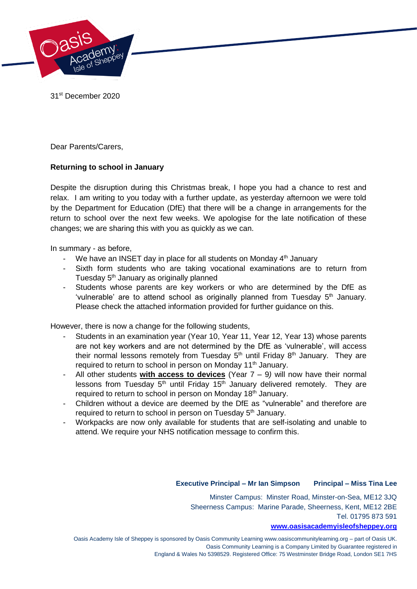

31st December 2020

Dear Parents/Carers,

# **Returning to school in January**

Despite the disruption during this Christmas break, I hope you had a chance to rest and relax. I am writing to you today with a further update, as yesterday afternoon we were told by the Department for Education (DfE) that there will be a change in arrangements for the return to school over the next few weeks. We apologise for the late notification of these changes; we are sharing this with you as quickly as we can.

In summary - as before,

- We have an INSET day in place for all students on Monday 4<sup>th</sup> January
- Sixth form students who are taking vocational examinations are to return from Tuesday 5<sup>th</sup> January as originally planned
- Students whose parents are key workers or who are determined by the DfE as 'vulnerable' are to attend school as originally planned from Tuesday  $5<sup>th</sup>$  January. Please check the attached information provided for further guidance on this.

However, there is now a change for the following students,

- Students in an examination year (Year 10, Year 11, Year 12, Year 13) whose parents are not key workers and are not determined by the DfE as 'vulnerable', will access their normal lessons remotely from Tuesday  $5<sup>th</sup>$  until Friday  $8<sup>th</sup>$  January. They are required to return to school in person on Monday 11<sup>th</sup> January.
- All other students **with access to devices** (Year 7 9*)* will now have their normal lessons from Tuesday 5<sup>th</sup> until Friday 15<sup>th</sup> January delivered remotely. They are required to return to school in person on Monday 18<sup>th</sup> January.
- Children without a device are deemed by the DfE as "vulnerable" and therefore are required to return to school in person on Tuesday 5<sup>th</sup> January.
- Workpacks are now only available for students that are self-isolating and unable to attend. We require your NHS notification message to confirm this.

#### **Executive Principal – Mr Ian Simpson Principal – Miss Tina Lee**

Minster Campus: Minster Road, Minster-on-Sea, ME12 3JQ Sheerness Campus: Marine Parade, Sheerness, Kent, ME12 2BE Tel. 01795 873 591

### **[www.oasisacademyisleofsheppey.org](http://www.oasisacademyisleofsheppey.org/)**

Oasis Academy Isle of Sheppey is sponsored by Oasis Community Learning www.oasiscommunitylearning.org – part of Oasis UK. Oasis Community Learning is a Company Limited by Guarantee registered in England & Wales No 5398529. Registered Office: 75 Westminster Bridge Road, London SE1 7HS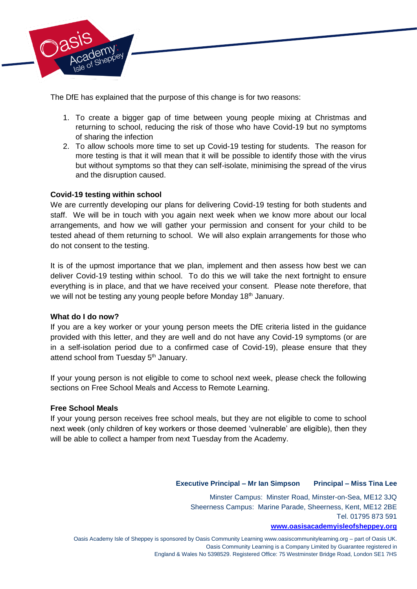

The DfE has explained that the purpose of this change is for two reasons:

- 1. To create a bigger gap of time between young people mixing at Christmas and returning to school, reducing the risk of those who have Covid-19 but no symptoms of sharing the infection
- 2. To allow schools more time to set up Covid-19 testing for students. The reason for more testing is that it will mean that it will be possible to identify those with the virus but without symptoms so that they can self-isolate, minimising the spread of the virus and the disruption caused.

## **Covid-19 testing within school**

We are currently developing our plans for delivering Covid-19 testing for both students and staff. We will be in touch with you again next week when we know more about our local arrangements, and how we will gather your permission and consent for your child to be tested ahead of them returning to school. We will also explain arrangements for those who do not consent to the testing.

It is of the upmost importance that we plan, implement and then assess how best we can deliver Covid-19 testing within school. To do this we will take the next fortnight to ensure everything is in place, and that we have received your consent. Please note therefore, that we will not be testing any young people before Monday 18<sup>th</sup> January.

#### **What do I do now?**

If you are a key worker or your young person meets the DfE criteria listed in the guidance provided with this letter, and they are well and do not have any Covid-19 symptoms (or are in a self-isolation period due to a confirmed case of Covid-19), please ensure that they attend school from Tuesday 5<sup>th</sup> January.

If your young person is not eligible to come to school next week, please check the following sections on Free School Meals and Access to Remote Learning.

#### **Free School Meals**

If your young person receives free school meals, but they are not eligible to come to school next week (only children of key workers or those deemed 'vulnerable' are eligible), then they will be able to collect a hamper from next Tuesday from the Academy.

#### **Executive Principal – Mr Ian Simpson Principal – Miss Tina Lee**

Minster Campus: Minster Road, Minster-on-Sea, ME12 3JQ Sheerness Campus: Marine Parade, Sheerness, Kent, ME12 2BE Tel. 01795 873 591

#### **[www.oasisacademyisleofsheppey.org](http://www.oasisacademyisleofsheppey.org/)**